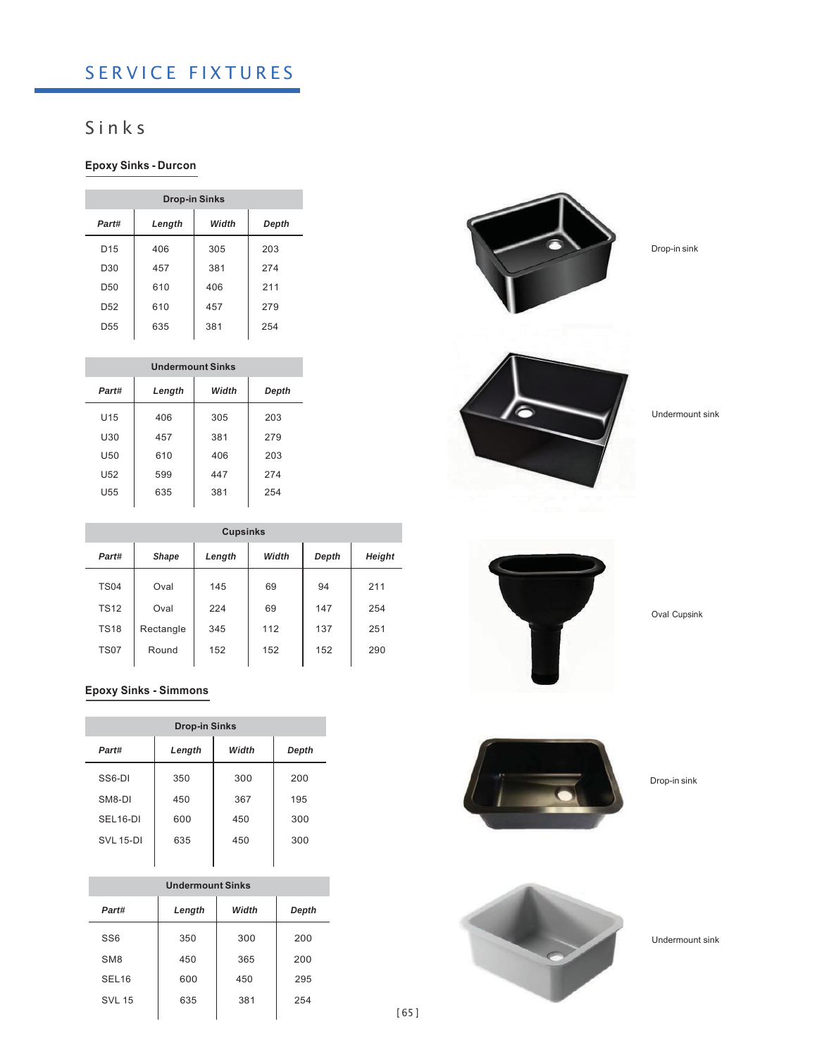# SERVICE FIXTURES

## S i n k s

### **Epoxy Sinks - Durcon**

| <b>Drop-in Sinks</b> |        |       |       |  |  |
|----------------------|--------|-------|-------|--|--|
| Part#                | Length | Width | Depth |  |  |
| D <sub>15</sub>      | 406    | 305   | 203   |  |  |
| D <sub>30</sub>      | 457    | 381   | 274   |  |  |
| D <sub>50</sub>      | 610    | 406   | 211   |  |  |
| D <sub>52</sub>      | 610    | 457   | 279   |  |  |
| D <sub>55</sub>      | 635    | 381   | 254   |  |  |

| <b>Undermount Sinks</b> |        |       |       |  |  |
|-------------------------|--------|-------|-------|--|--|
| Part#                   | Length | Width | Depth |  |  |
| U15                     | 406    | 305   | 203   |  |  |
| U30                     | 457    | 381   | 279   |  |  |
| U50                     | 610    | 406   | 203   |  |  |
| U <sub>52</sub>         | 599    | 447   | 274   |  |  |
| U55                     | 635    | 381   | 254   |  |  |
|                         |        |       |       |  |  |

| <b>Cupsinks</b> |           |        |       |       |        |  |
|-----------------|-----------|--------|-------|-------|--------|--|
| Part#           | Shape     | Length | Width | Depth | Height |  |
| <b>TS04</b>     | Oval      | 145    | 69    | 94    | 211    |  |
| <b>TS12</b>     | Oval      | 224    | 69    | 147   | 254    |  |
| <b>TS18</b>     | Rectangle | 345    | 112   | 137   | 251    |  |
| <b>TS07</b>     | Round     | 152    | 152   | 152   | 290    |  |
|                 |           |        |       |       |        |  |

#### **Epoxy Sinks - Simmons**

| <b>Drop-in Sinks</b> |        |       |       |  |  |
|----------------------|--------|-------|-------|--|--|
| Part#                | Length | Width | Depth |  |  |
| SS <sub>6</sub> -DI  | 350    | 300   | 200   |  |  |
| SM8-DI               | 450    | 367   | 195   |  |  |
| SEL <sub>16-DI</sub> | 600    | 450   | 300   |  |  |
| <b>SVL 15-DI</b>     | 635    | 450   | 300   |  |  |
|                      |        |       |       |  |  |

| <b>Undermount Sinks</b> |        |       |     |  |  |
|-------------------------|--------|-------|-----|--|--|
| Part#                   | Length | Depth |     |  |  |
| SS <sub>6</sub>         | 350    | 300   | 200 |  |  |
| SM <sub>8</sub>         | 450    | 365   | 200 |  |  |
| SEL <sub>16</sub>       | 600    | 450   | 295 |  |  |
| <b>SVL 15</b>           | 635    | 381   | 254 |  |  |
|                         |        |       |     |  |  |



Drop-in sink



Undermount sink



Oval Cupsink



Drop-in sink



Undermount sink

[ 65 ]